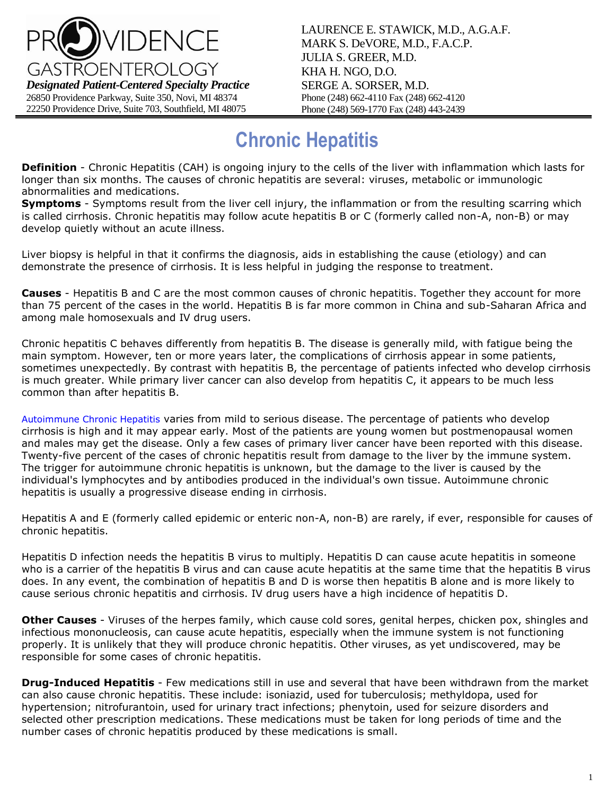

LAURENCE E. STAWICK, M.D., A.G.A.F. MARK S. DeVORE, M.D., F.A.C.P. JULIA S. GREER, M.D. KHA H. NGO, D.O. SERGE A. SORSER, M.D. Phone (248) 662-4110 Fax (248) 662-4120 Phone (248) 569-1770 Fax (248) 443-2439

## **Chronic Hepatitis**

**Definition** - Chronic Hepatitis (CAH) is ongoing injury to the cells of the liver with inflammation which lasts for longer than six months. The causes of chronic hepatitis are several: viruses, metabolic or immunologic abnormalities and medications.

**Symptoms** - Symptoms result from the liver cell injury, the inflammation or from the resulting scarring which is called cirrhosis. Chronic hepatitis may follow acute hepatitis B or C (formerly called non-A, non-B) or may develop quietly without an acute illness.

Liver biopsy is helpful in that it confirms the diagnosis, aids in establishing the cause (etiology) and can demonstrate the presence of cirrhosis. It is less helpful in judging the response to treatment.

**Causes** - Hepatitis B and C are the most common causes of chronic hepatitis. Together they account for more than 75 percent of the cases in the world. Hepatitis B is far more common in China and sub-Saharan Africa and among male homosexuals and IV drug users.

Chronic hepatitis C behaves differently from hepatitis B. The disease is generally mild, with fatigue being the main symptom. However, ten or more years later, the complications of cirrhosis appear in some patients, sometimes unexpectedly. By contrast with hepatitis B, the percentage of patients infected who develop cirrhosis is much greater. While primary liver cancer can also develop from hepatitis C, it appears to be much less common than after hepatitis B.

[Autoimmune Chronic Hepatitis](http://www.gastro.com/Gastro/liverdisease/autoimmune_hepatitis.aspx) varies from mild to serious disease. The percentage of patients who develop cirrhosis is high and it may appear early. Most of the patients are young women but postmenopausal women and males may get the disease. Only a few cases of primary liver cancer have been reported with this disease. Twenty-five percent of the cases of chronic hepatitis result from damage to the liver by the immune system. The trigger for autoimmune chronic hepatitis is unknown, but the damage to the liver is caused by the individual's lymphocytes and by antibodies produced in the individual's own tissue. Autoimmune chronic hepatitis is usually a progressive disease ending in cirrhosis.

Hepatitis A and E (formerly called epidemic or enteric non-A, non-B) are rarely, if ever, responsible for causes of chronic hepatitis.

Hepatitis D infection needs the hepatitis B virus to multiply. Hepatitis D can cause acute hepatitis in someone who is a carrier of the hepatitis B virus and can cause acute hepatitis at the same time that the hepatitis B virus does. In any event, the combination of hepatitis B and D is worse then hepatitis B alone and is more likely to cause serious chronic hepatitis and cirrhosis. IV drug users have a high incidence of hepatitis D.

**Other Causes** - Viruses of the herpes family, which cause cold sores, genital herpes, chicken pox, shingles and infectious mononucleosis, can cause acute hepatitis, especially when the immune system is not functioning properly. It is unlikely that they will produce chronic hepatitis. Other viruses, as yet undiscovered, may be responsible for some cases of chronic hepatitis.

**Drug-Induced Hepatitis** - Few medications still in use and several that have been withdrawn from the market can also cause chronic hepatitis. These include: isoniazid, used for tuberculosis; methyldopa, used for hypertension; nitrofurantoin, used for urinary tract infections; phenytoin, used for seizure disorders and selected other prescription medications. These medications must be taken for long periods of time and the number cases of chronic hepatitis produced by these medications is small.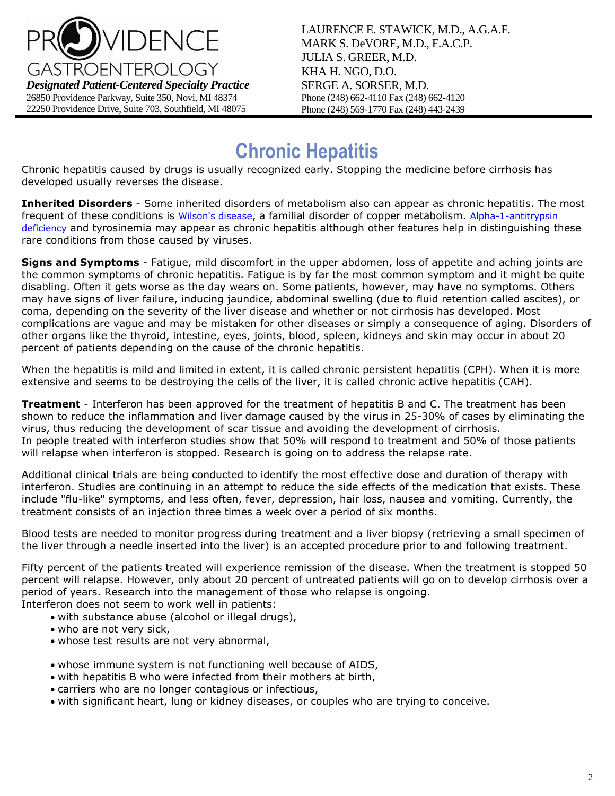

LAURENCE E. STAWICK, M.D., A.G.A.F. MARK S. DeVORE, M.D., F.A.C.P. JULIA S. GREER, M.D. KHA H. NGO, D.O. SERGE A. SORSER, M.D. Phone (248) 662-4110 Fax (248) 662-4120 Phone (248) 569-1770 Fax (248) 443-2439

## **Chronic Hepatitis**

Chronic hepatitis caused by drugs is usually recognized early. Stopping the medicine before cirrhosis has developed usually reverses the disease.

**Inherited Disorders** - Some inherited disorders of metabolism also can appear as chronic hepatitis. The most frequent of these conditions is [Wilson's disease](http://www.gastro.com/Gastro/liverdisease/wilson_disease.aspx), a familial disorder of copper metabolism. Alpha-1-antitrypsin [deficiency](http://www.gastro.com/Gastro/liverdisease/antitrypsin_deficiency.aspx) and tyrosinemia may appear as chronic hepatitis although other features help in distinguishing these rare conditions from those caused by viruses.

**Signs and Symptoms** - Fatigue, mild discomfort in the upper abdomen, loss of appetite and aching joints are the common symptoms of chronic hepatitis. Fatigue is by far the most common symptom and it might be quite disabling. Often it gets worse as the day wears on. Some patients, however, may have no symptoms. Others may have signs of liver failure, inducing jaundice, abdominal swelling (due to fluid retention called ascites), or coma, depending on the severity of the liver disease and whether or not cirrhosis has developed. Most complications are vague and may be mistaken for other diseases or simply a consequence of aging. Disorders of other organs like the thyroid, intestine, eyes, joints, blood, spleen, kidneys and skin may occur in about 20 percent of patients depending on the cause of the chronic hepatitis.

When the hepatitis is mild and limited in extent, it is called chronic persistent hepatitis (CPH). When it is more extensive and seems to be destroying the cells of the liver, it is called chronic active hepatitis (CAH).

**Treatment** - Interferon has been approved for the treatment of hepatitis B and C. The treatment has been shown to reduce the inflammation and liver damage caused by the virus in 25-30% of cases by eliminating the virus, thus reducing the development of scar tissue and avoiding the development of cirrhosis. In people treated with interferon studies show that 50% will respond to treatment and 50% of those patients will relapse when interferon is stopped. Research is going on to address the relapse rate.

Additional clinical trials are being conducted to identify the most effective dose and duration of therapy with interferon. Studies are continuing in an attempt to reduce the side effects of the medication that exists. These include "flu-like" symptoms, and less often, fever, depression, hair loss, nausea and vomiting. Currently, the treatment consists of an injection three times a week over a period of six months.

Blood tests are needed to monitor progress during treatment and a liver biopsy (retrieving a small specimen of the liver through a needle inserted into the liver) is an accepted procedure prior to and following treatment.

Fifty percent of the patients treated will experience remission of the disease. When the treatment is stopped 50 percent will relapse. However, only about 20 percent of untreated patients will go on to develop cirrhosis over a period of years. Research into the management of those who relapse is ongoing. Interferon does not seem to work well in patients:

• with substance abuse (alcohol or illegal drugs),

- who are not very sick,
- whose test results are not very abnormal,
- whose immune system is not functioning well because of AIDS,
- with hepatitis B who were infected from their mothers at birth,
- carriers who are no longer contagious or infectious,
- with significant heart, lung or kidney diseases, or couples who are trying to conceive.